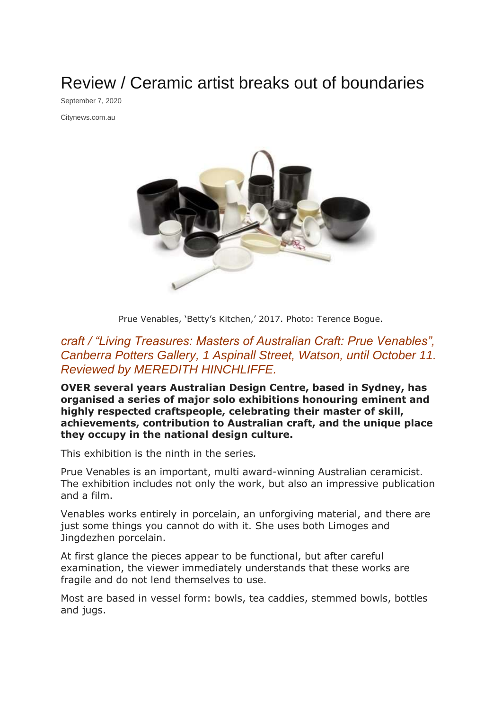Review / Ceramic artist breaks out of boundaries

September 7, 2020

Citynews.com.au



Prue Venables, 'Betty's Kitchen,' 2017. Photo: Terence Bogue.

## *craft / "Living Treasures: Masters of Australian Craft: Prue Venables", Canberra Potters Gallery, 1 Aspinall Street, Watson, until October 11. Reviewed by MEREDITH HINCHLIFFE.*

**OVER several years Australian Design Centre, based in Sydney, has organised a series of major solo exhibitions honouring eminent and highly respected craftspeople, celebrating their master of skill, achievements, contribution to Australian craft, and the unique place they occupy in the national design culture.**

This exhibition is the ninth in the series*.*

Prue Venables is an important, multi award-winning Australian ceramicist. The exhibition includes not only the work, but also an impressive publication and a film.

Venables works entirely in porcelain, an unforgiving material, and there are just some things you cannot do with it. She uses both Limoges and Jingdezhen porcelain.

At first glance the pieces appear to be functional, but after careful examination, the viewer immediately understands that these works are fragile and do not lend themselves to use.

Most are based in vessel form: bowls, tea caddies, stemmed bowls, bottles and jugs.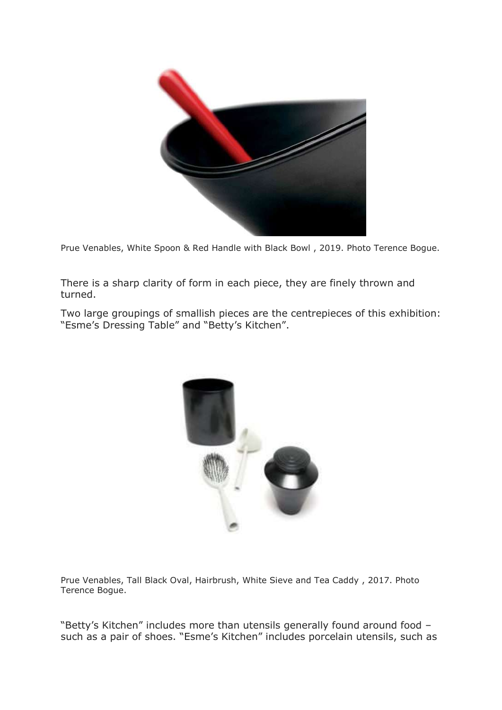

Prue Venables, White Spoon & Red Handle with Black Bowl , 2019. Photo Terence Bogue.

There is a sharp clarity of form in each piece, they are finely thrown and turned.

Two large groupings of smallish pieces are the centrepieces of this exhibition: "Esme's Dressing Table" and "Betty's Kitchen".



Prue Venables, Tall Black Oval, Hairbrush, White Sieve and Tea Caddy , 2017. Photo Terence Bogue.

"Betty's Kitchen" includes more than utensils generally found around food – such as a pair of shoes. "Esme's Kitchen" includes porcelain utensils, such as